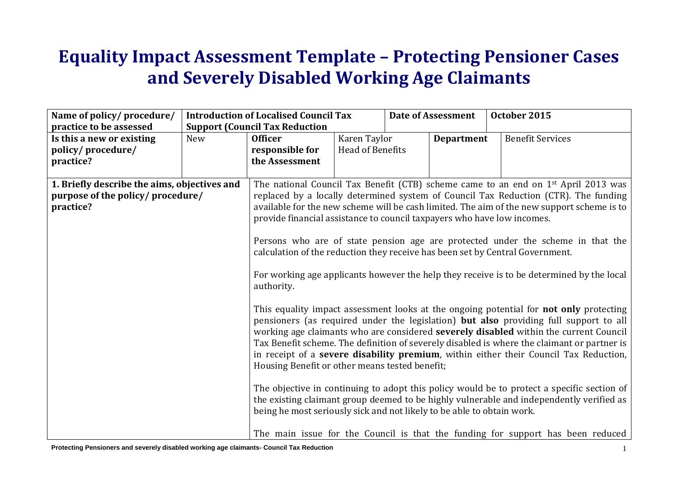## **Equality Impact Assessment Template – Protecting Pensioner Cases and Severely Disabled Working Age Claimants**

| Name of policy/procedure/<br>practice to be assessed                                           |     | <b>Introduction of Localised Council Tax</b><br><b>Support (Council Tax Reduction</b>                                                                                                                                                                                                              |                         | <b>Date of Assessment</b> | October 2015                                                                                                                                                                                                                                                                                                                                                                                                                                                                                                                                                                                                                                                                                                                                                                                                                                                                                                                                                                                                                                                                                                                      |  |
|------------------------------------------------------------------------------------------------|-----|----------------------------------------------------------------------------------------------------------------------------------------------------------------------------------------------------------------------------------------------------------------------------------------------------|-------------------------|---------------------------|-----------------------------------------------------------------------------------------------------------------------------------------------------------------------------------------------------------------------------------------------------------------------------------------------------------------------------------------------------------------------------------------------------------------------------------------------------------------------------------------------------------------------------------------------------------------------------------------------------------------------------------------------------------------------------------------------------------------------------------------------------------------------------------------------------------------------------------------------------------------------------------------------------------------------------------------------------------------------------------------------------------------------------------------------------------------------------------------------------------------------------------|--|
| Is this a new or existing                                                                      | New | Karen Taylor<br><b>Officer</b>                                                                                                                                                                                                                                                                     |                         | <b>Department</b>         | <b>Benefit Services</b>                                                                                                                                                                                                                                                                                                                                                                                                                                                                                                                                                                                                                                                                                                                                                                                                                                                                                                                                                                                                                                                                                                           |  |
| policy/procedure/<br>practice?                                                                 |     | responsible for<br>the Assessment                                                                                                                                                                                                                                                                  | <b>Head of Benefits</b> |                           |                                                                                                                                                                                                                                                                                                                                                                                                                                                                                                                                                                                                                                                                                                                                                                                                                                                                                                                                                                                                                                                                                                                                   |  |
|                                                                                                |     |                                                                                                                                                                                                                                                                                                    |                         |                           |                                                                                                                                                                                                                                                                                                                                                                                                                                                                                                                                                                                                                                                                                                                                                                                                                                                                                                                                                                                                                                                                                                                                   |  |
| 1. Briefly describe the aims, objectives and<br>purpose of the policy/ procedure/<br>practice? |     | provide financial assistance to council taxpayers who have low incomes.<br>calculation of the reduction they receive has been set by Central Government.<br>authority.<br>Housing Benefit or other means tested benefit;<br>being he most seriously sick and not likely to be able to obtain work. |                         |                           | The national Council Tax Benefit (CTB) scheme came to an end on 1 <sup>st</sup> April 2013 was<br>replaced by a locally determined system of Council Tax Reduction (CTR). The funding<br>available for the new scheme will be cash limited. The aim of the new support scheme is to<br>Persons who are of state pension age are protected under the scheme in that the<br>For working age applicants however the help they receive is to be determined by the local<br>This equality impact assessment looks at the ongoing potential for not only protecting<br>pensioners (as required under the legislation) but also providing full support to all<br>working age claimants who are considered severely disabled within the current Council<br>Tax Benefit scheme. The definition of severely disabled is where the claimant or partner is<br>in receipt of a severe disability premium, within either their Council Tax Reduction,<br>The objective in continuing to adopt this policy would be to protect a specific section of<br>the existing claimant group deemed to be highly vulnerable and independently verified as |  |
|                                                                                                |     |                                                                                                                                                                                                                                                                                                    |                         |                           | The main issue for the Council is that the funding for support has been reduced                                                                                                                                                                                                                                                                                                                                                                                                                                                                                                                                                                                                                                                                                                                                                                                                                                                                                                                                                                                                                                                   |  |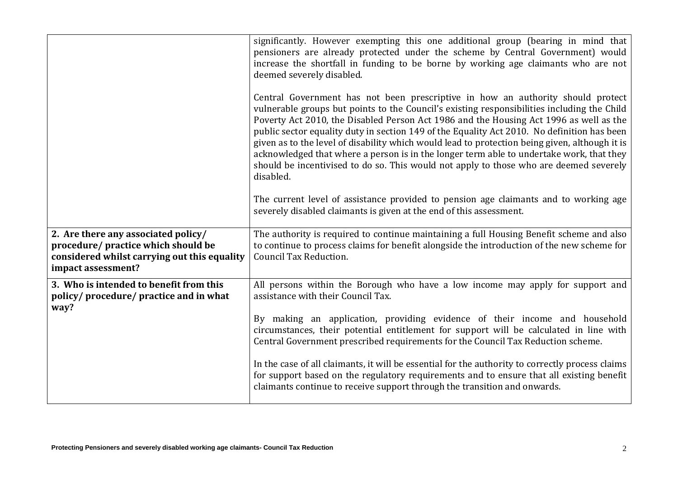|                                                                                                                                                  | significantly. However exempting this one additional group (bearing in mind that<br>pensioners are already protected under the scheme by Central Government) would<br>increase the shortfall in funding to be borne by working age claimants who are not<br>deemed severely disabled.<br>Central Government has not been prescriptive in how an authority should protect<br>vulnerable groups but points to the Council's existing responsibilities including the Child<br>Poverty Act 2010, the Disabled Person Act 1986 and the Housing Act 1996 as well as the<br>public sector equality duty in section 149 of the Equality Act 2010. No definition has been<br>given as to the level of disability which would lead to protection being given, although it is<br>acknowledged that where a person is in the longer term able to undertake work, that they<br>should be incentivised to do so. This would not apply to those who are deemed severely<br>disabled.<br>The current level of assistance provided to pension age claimants and to working age<br>severely disabled claimants is given at the end of this assessment. |
|--------------------------------------------------------------------------------------------------------------------------------------------------|--------------------------------------------------------------------------------------------------------------------------------------------------------------------------------------------------------------------------------------------------------------------------------------------------------------------------------------------------------------------------------------------------------------------------------------------------------------------------------------------------------------------------------------------------------------------------------------------------------------------------------------------------------------------------------------------------------------------------------------------------------------------------------------------------------------------------------------------------------------------------------------------------------------------------------------------------------------------------------------------------------------------------------------------------------------------------------------------------------------------------------------|
| 2. Are there any associated policy/<br>procedure/ practice which should be<br>considered whilst carrying out this equality<br>impact assessment? | The authority is required to continue maintaining a full Housing Benefit scheme and also<br>to continue to process claims for benefit alongside the introduction of the new scheme for<br>Council Tax Reduction.                                                                                                                                                                                                                                                                                                                                                                                                                                                                                                                                                                                                                                                                                                                                                                                                                                                                                                                     |
| 3. Who is intended to benefit from this<br>policy/procedure/practice and in what<br>way?                                                         | All persons within the Borough who have a low income may apply for support and<br>assistance with their Council Tax.<br>By making an application, providing evidence of their income and household<br>circumstances, their potential entitlement for support will be calculated in line with<br>Central Government prescribed requirements for the Council Tax Reduction scheme.<br>In the case of all claimants, it will be essential for the authority to correctly process claims<br>for support based on the regulatory requirements and to ensure that all existing benefit<br>claimants continue to receive support through the transition and onwards.                                                                                                                                                                                                                                                                                                                                                                                                                                                                        |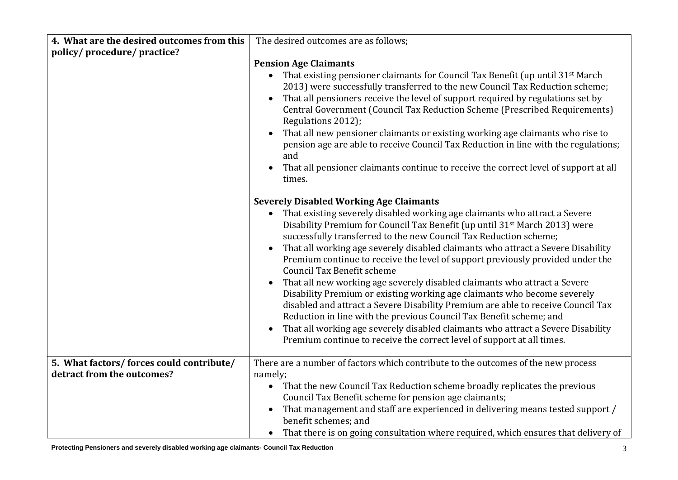| 4. What are the desired outcomes from this | The desired outcomes are as follows;                                                                                                                                                                                                                                                                                                                                                                                                                                                                                                                                                                                                                                                                                                                                                                                                                                                                                                                                                                               |
|--------------------------------------------|--------------------------------------------------------------------------------------------------------------------------------------------------------------------------------------------------------------------------------------------------------------------------------------------------------------------------------------------------------------------------------------------------------------------------------------------------------------------------------------------------------------------------------------------------------------------------------------------------------------------------------------------------------------------------------------------------------------------------------------------------------------------------------------------------------------------------------------------------------------------------------------------------------------------------------------------------------------------------------------------------------------------|
| policy/procedure/practice?                 |                                                                                                                                                                                                                                                                                                                                                                                                                                                                                                                                                                                                                                                                                                                                                                                                                                                                                                                                                                                                                    |
|                                            | <b>Pension Age Claimants</b><br>That existing pensioner claimants for Council Tax Benefit (up until 31 <sup>st</sup> March<br>$\bullet$<br>2013) were successfully transferred to the new Council Tax Reduction scheme;<br>That all pensioners receive the level of support required by regulations set by<br>Central Government (Council Tax Reduction Scheme (Prescribed Requirements)<br>Regulations 2012);<br>That all new pensioner claimants or existing working age claimants who rise to<br>pension age are able to receive Council Tax Reduction in line with the regulations;<br>and<br>That all pensioner claimants continue to receive the correct level of support at all<br>times.                                                                                                                                                                                                                                                                                                                   |
|                                            | <b>Severely Disabled Working Age Claimants</b><br>That existing severely disabled working age claimants who attract a Severe<br>Disability Premium for Council Tax Benefit (up until 31 <sup>st</sup> March 2013) were<br>successfully transferred to the new Council Tax Reduction scheme;<br>That all working age severely disabled claimants who attract a Severe Disability<br>$\bullet$<br>Premium continue to receive the level of support previously provided under the<br><b>Council Tax Benefit scheme</b><br>That all new working age severely disabled claimants who attract a Severe<br>Disability Premium or existing working age claimants who become severely<br>disabled and attract a Severe Disability Premium are able to receive Council Tax<br>Reduction in line with the previous Council Tax Benefit scheme; and<br>That all working age severely disabled claimants who attract a Severe Disability<br>$\bullet$<br>Premium continue to receive the correct level of support at all times. |
| 5. What factors/ forces could contribute/  | There are a number of factors which contribute to the outcomes of the new process                                                                                                                                                                                                                                                                                                                                                                                                                                                                                                                                                                                                                                                                                                                                                                                                                                                                                                                                  |
| detract from the outcomes?                 | namely;                                                                                                                                                                                                                                                                                                                                                                                                                                                                                                                                                                                                                                                                                                                                                                                                                                                                                                                                                                                                            |
|                                            | • That the new Council Tax Reduction scheme broadly replicates the previous                                                                                                                                                                                                                                                                                                                                                                                                                                                                                                                                                                                                                                                                                                                                                                                                                                                                                                                                        |
|                                            | Council Tax Benefit scheme for pension age claimants;                                                                                                                                                                                                                                                                                                                                                                                                                                                                                                                                                                                                                                                                                                                                                                                                                                                                                                                                                              |
|                                            | That management and staff are experienced in delivering means tested support /<br>$\bullet$<br>benefit schemes; and                                                                                                                                                                                                                                                                                                                                                                                                                                                                                                                                                                                                                                                                                                                                                                                                                                                                                                |
|                                            | • That there is on going consultation where required, which ensures that delivery of                                                                                                                                                                                                                                                                                                                                                                                                                                                                                                                                                                                                                                                                                                                                                                                                                                                                                                                               |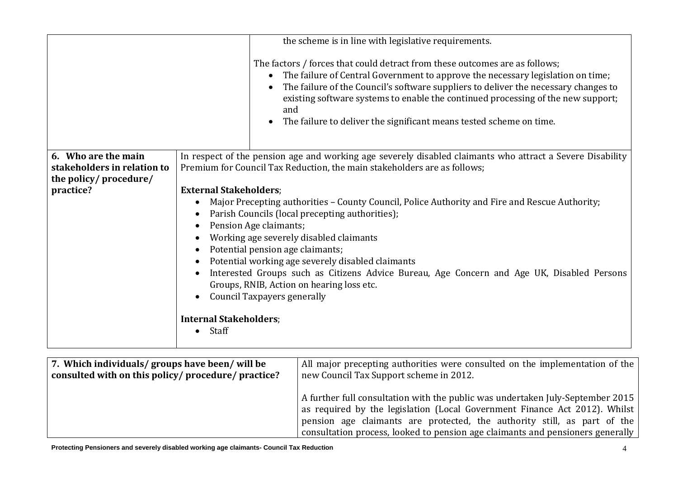|                             |                                                                                                | the scheme is in line with legislative requirements.                                                                                                                                                                                                                                                                                                                                                                                                           |  |  |  |  |  |  |
|-----------------------------|------------------------------------------------------------------------------------------------|----------------------------------------------------------------------------------------------------------------------------------------------------------------------------------------------------------------------------------------------------------------------------------------------------------------------------------------------------------------------------------------------------------------------------------------------------------------|--|--|--|--|--|--|
|                             |                                                                                                | The factors / forces that could detract from these outcomes are as follows;<br>The failure of Central Government to approve the necessary legislation on time;<br>$\bullet$<br>The failure of the Council's software suppliers to deliver the necessary changes to<br>$\bullet$<br>existing software systems to enable the continued processing of the new support;<br>and<br>The failure to deliver the significant means tested scheme on time.<br>$\bullet$ |  |  |  |  |  |  |
| 6. Who are the main         |                                                                                                | In respect of the pension age and working age severely disabled claimants who attract a Severe Disability                                                                                                                                                                                                                                                                                                                                                      |  |  |  |  |  |  |
| stakeholders in relation to |                                                                                                | Premium for Council Tax Reduction, the main stakeholders are as follows;                                                                                                                                                                                                                                                                                                                                                                                       |  |  |  |  |  |  |
| the policy/procedure/       |                                                                                                |                                                                                                                                                                                                                                                                                                                                                                                                                                                                |  |  |  |  |  |  |
| practice?                   | <b>External Stakeholders;</b>                                                                  |                                                                                                                                                                                                                                                                                                                                                                                                                                                                |  |  |  |  |  |  |
|                             | Major Precepting authorities - County Council, Police Authority and Fire and Rescue Authority; |                                                                                                                                                                                                                                                                                                                                                                                                                                                                |  |  |  |  |  |  |
|                             | Parish Councils (local precepting authorities);                                                |                                                                                                                                                                                                                                                                                                                                                                                                                                                                |  |  |  |  |  |  |
|                             | Pension Age claimants;<br>$\bullet$                                                            |                                                                                                                                                                                                                                                                                                                                                                                                                                                                |  |  |  |  |  |  |
|                             | Working age severely disabled claimants                                                        |                                                                                                                                                                                                                                                                                                                                                                                                                                                                |  |  |  |  |  |  |
|                             |                                                                                                | Potential pension age claimants;                                                                                                                                                                                                                                                                                                                                                                                                                               |  |  |  |  |  |  |
|                             |                                                                                                | Potential working age severely disabled claimants                                                                                                                                                                                                                                                                                                                                                                                                              |  |  |  |  |  |  |
|                             |                                                                                                | Interested Groups such as Citizens Advice Bureau, Age Concern and Age UK, Disabled Persons                                                                                                                                                                                                                                                                                                                                                                     |  |  |  |  |  |  |
|                             |                                                                                                | Groups, RNIB, Action on hearing loss etc.                                                                                                                                                                                                                                                                                                                                                                                                                      |  |  |  |  |  |  |
|                             |                                                                                                | <b>Council Taxpayers generally</b>                                                                                                                                                                                                                                                                                                                                                                                                                             |  |  |  |  |  |  |
|                             |                                                                                                |                                                                                                                                                                                                                                                                                                                                                                                                                                                                |  |  |  |  |  |  |
|                             | <b>Internal Stakeholders;</b>                                                                  |                                                                                                                                                                                                                                                                                                                                                                                                                                                                |  |  |  |  |  |  |
|                             | Staff<br>$\bullet$                                                                             |                                                                                                                                                                                                                                                                                                                                                                                                                                                                |  |  |  |  |  |  |
|                             |                                                                                                |                                                                                                                                                                                                                                                                                                                                                                                                                                                                |  |  |  |  |  |  |

| 7. Which individuals/groups have been/ will be    | All major precepting authorities were consulted on the implementation of the                                                                                                                                                                                                                                               |
|---------------------------------------------------|----------------------------------------------------------------------------------------------------------------------------------------------------------------------------------------------------------------------------------------------------------------------------------------------------------------------------|
| consulted with on this policy/procedure/practice? | new Council Tax Support scheme in 2012.                                                                                                                                                                                                                                                                                    |
|                                                   | A further full consultation with the public was undertaken July-September 2015<br>as required by the legislation (Local Government Finance Act 2012). Whilst<br>pension age claimants are protected, the authority still, as part of the<br>consultation process, looked to pension age claimants and pensioners generally |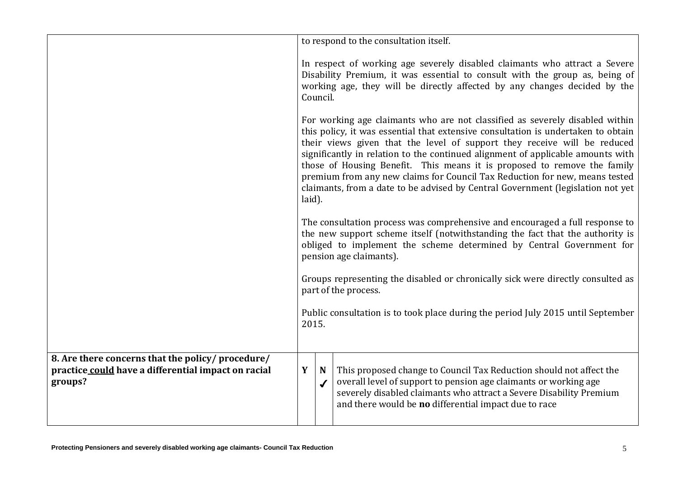|                                                                                                                     | to respond to the consultation itself.                                                                                                                                                                                                                                                                                                                                                                                                                                                                                                                                                   |   |                                                                                                                                                                                                                                                                         |  |  |
|---------------------------------------------------------------------------------------------------------------------|------------------------------------------------------------------------------------------------------------------------------------------------------------------------------------------------------------------------------------------------------------------------------------------------------------------------------------------------------------------------------------------------------------------------------------------------------------------------------------------------------------------------------------------------------------------------------------------|---|-------------------------------------------------------------------------------------------------------------------------------------------------------------------------------------------------------------------------------------------------------------------------|--|--|
|                                                                                                                     | In respect of working age severely disabled claimants who attract a Severe<br>Disability Premium, it was essential to consult with the group as, being of<br>working age, they will be directly affected by any changes decided by the<br>Council.                                                                                                                                                                                                                                                                                                                                       |   |                                                                                                                                                                                                                                                                         |  |  |
|                                                                                                                     | For working age claimants who are not classified as severely disabled within<br>this policy, it was essential that extensive consultation is undertaken to obtain<br>their views given that the level of support they receive will be reduced<br>significantly in relation to the continued alignment of applicable amounts with<br>those of Housing Benefit. This means it is proposed to remove the family<br>premium from any new claims for Council Tax Reduction for new, means tested<br>claimants, from a date to be advised by Central Government (legislation not yet<br>laid). |   |                                                                                                                                                                                                                                                                         |  |  |
|                                                                                                                     | The consultation process was comprehensive and encouraged a full response to<br>the new support scheme itself (notwithstanding the fact that the authority is<br>obliged to implement the scheme determined by Central Government for<br>pension age claimants).                                                                                                                                                                                                                                                                                                                         |   |                                                                                                                                                                                                                                                                         |  |  |
|                                                                                                                     | Groups representing the disabled or chronically sick were directly consulted as<br>part of the process.                                                                                                                                                                                                                                                                                                                                                                                                                                                                                  |   |                                                                                                                                                                                                                                                                         |  |  |
|                                                                                                                     | Public consultation is to took place during the period July 2015 until September<br>2015.                                                                                                                                                                                                                                                                                                                                                                                                                                                                                                |   |                                                                                                                                                                                                                                                                         |  |  |
| 8. Are there concerns that the policy/ procedure/<br>practice could have a differential impact on racial<br>groups? | Y                                                                                                                                                                                                                                                                                                                                                                                                                                                                                                                                                                                        | N | This proposed change to Council Tax Reduction should not affect the<br>overall level of support to pension age claimants or working age<br>severely disabled claimants who attract a Severe Disability Premium<br>and there would be no differential impact due to race |  |  |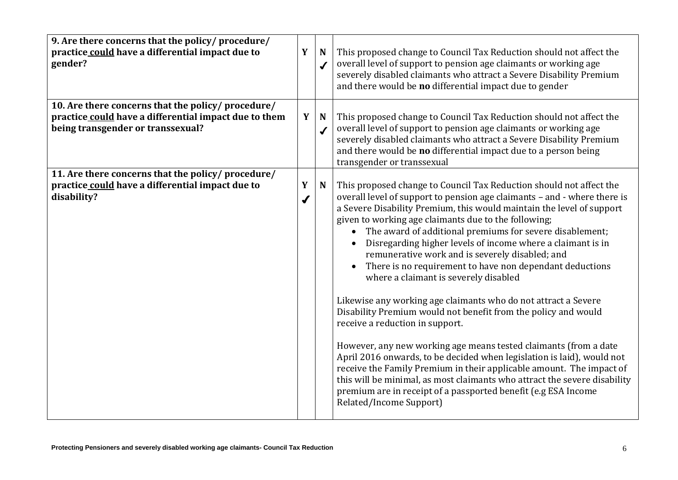| 9. Are there concerns that the policy/procedure/<br>practice could have a differential impact due to<br>gender?                                  | Y                     | $\mathbf N$<br>$\checkmark$ | This proposed change to Council Tax Reduction should not affect the<br>overall level of support to pension age claimants or working age<br>severely disabled claimants who attract a Severe Disability Premium<br>and there would be no differential impact due to gender                                                                                                                                                                                                                                                                                                                                                                                                                                                                                                                                                                                                                                                                                                                                                                                                                                                                  |
|--------------------------------------------------------------------------------------------------------------------------------------------------|-----------------------|-----------------------------|--------------------------------------------------------------------------------------------------------------------------------------------------------------------------------------------------------------------------------------------------------------------------------------------------------------------------------------------------------------------------------------------------------------------------------------------------------------------------------------------------------------------------------------------------------------------------------------------------------------------------------------------------------------------------------------------------------------------------------------------------------------------------------------------------------------------------------------------------------------------------------------------------------------------------------------------------------------------------------------------------------------------------------------------------------------------------------------------------------------------------------------------|
| 10. Are there concerns that the policy/ procedure/<br>practice could have a differential impact due to them<br>being transgender or transsexual? | Y                     | N<br>$\checkmark$           | This proposed change to Council Tax Reduction should not affect the<br>overall level of support to pension age claimants or working age<br>severely disabled claimants who attract a Severe Disability Premium<br>and there would be no differential impact due to a person being<br>transgender or transsexual                                                                                                                                                                                                                                                                                                                                                                                                                                                                                                                                                                                                                                                                                                                                                                                                                            |
| 11. Are there concerns that the policy/procedure/<br>practice could have a differential impact due to<br>disability?                             | Y<br>$\boldsymbol{J}$ | N                           | This proposed change to Council Tax Reduction should not affect the<br>overall level of support to pension age claimants - and - where there is<br>a Severe Disability Premium, this would maintain the level of support<br>given to working age claimants due to the following;<br>The award of additional premiums for severe disablement;<br>Disregarding higher levels of income where a claimant is in<br>remunerative work and is severely disabled; and<br>There is no requirement to have non dependant deductions<br>where a claimant is severely disabled<br>Likewise any working age claimants who do not attract a Severe<br>Disability Premium would not benefit from the policy and would<br>receive a reduction in support.<br>However, any new working age means tested claimants (from a date<br>April 2016 onwards, to be decided when legislation is laid), would not<br>receive the Family Premium in their applicable amount. The impact of<br>this will be minimal, as most claimants who attract the severe disability<br>premium are in receipt of a passported benefit (e.g ESA Income<br>Related/Income Support) |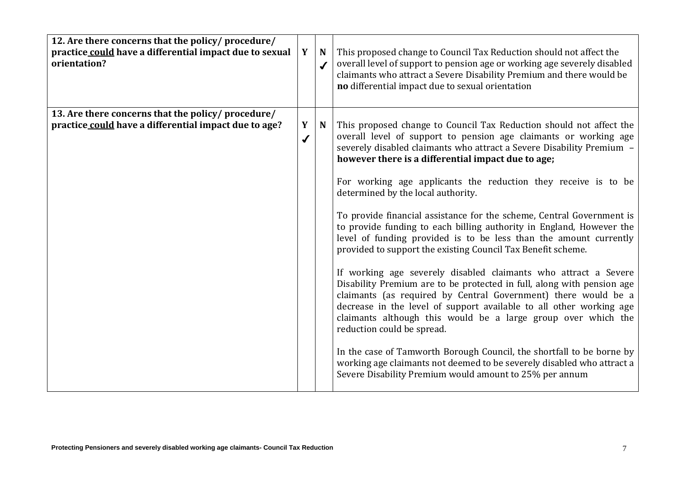| 12. Are there concerns that the policy/ procedure/<br>practice could have a differential impact due to sexual<br>orientation? | Y                 | N<br>$\checkmark$ | This proposed change to Council Tax Reduction should not affect the<br>overall level of support to pension age or working age severely disabled<br>claimants who attract a Severe Disability Premium and there would be<br>no differential impact due to sexual orientation                                                                                                                                                                                                                                                                                                                                                                                                                                                                                                                                                                                                                                                                                                                                                                                                                                                                                                                                                                                             |
|-------------------------------------------------------------------------------------------------------------------------------|-------------------|-------------------|-------------------------------------------------------------------------------------------------------------------------------------------------------------------------------------------------------------------------------------------------------------------------------------------------------------------------------------------------------------------------------------------------------------------------------------------------------------------------------------------------------------------------------------------------------------------------------------------------------------------------------------------------------------------------------------------------------------------------------------------------------------------------------------------------------------------------------------------------------------------------------------------------------------------------------------------------------------------------------------------------------------------------------------------------------------------------------------------------------------------------------------------------------------------------------------------------------------------------------------------------------------------------|
| 13. Are there concerns that the policy/ procedure/<br>practice could have a differential impact due to age?                   | Y<br>$\checkmark$ | N                 | This proposed change to Council Tax Reduction should not affect the<br>overall level of support to pension age claimants or working age<br>severely disabled claimants who attract a Severe Disability Premium -<br>however there is a differential impact due to age;<br>For working age applicants the reduction they receive is to be<br>determined by the local authority.<br>To provide financial assistance for the scheme, Central Government is<br>to provide funding to each billing authority in England, However the<br>level of funding provided is to be less than the amount currently<br>provided to support the existing Council Tax Benefit scheme.<br>If working age severely disabled claimants who attract a Severe<br>Disability Premium are to be protected in full, along with pension age<br>claimants (as required by Central Government) there would be a<br>decrease in the level of support available to all other working age<br>claimants although this would be a large group over which the<br>reduction could be spread.<br>In the case of Tamworth Borough Council, the shortfall to be borne by<br>working age claimants not deemed to be severely disabled who attract a<br>Severe Disability Premium would amount to 25% per annum |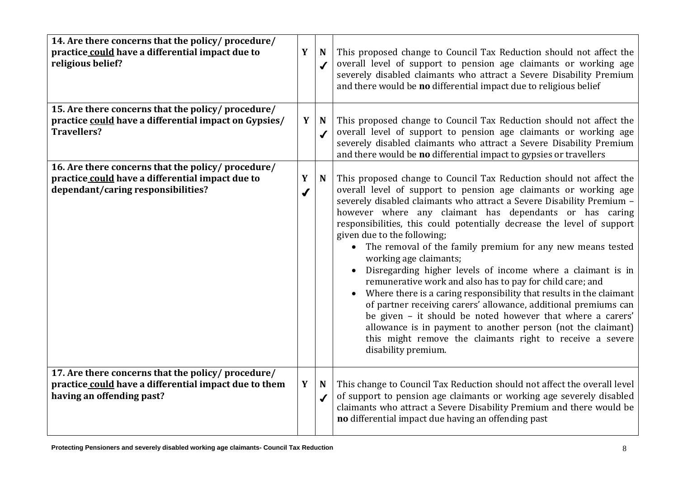| 14. Are there concerns that the policy/procedure/<br>practice could have a differential impact due to<br>religious belief?                  | Y                     | $\mathbf N$<br>$\boldsymbol{J}$ | This proposed change to Council Tax Reduction should not affect the<br>overall level of support to pension age claimants or working age<br>severely disabled claimants who attract a Severe Disability Premium<br>and there would be no differential impact due to religious belief                                                                                                                                                                                                                                                                                                                                                                                                                                                                                                                                                                                                                                                                                    |
|---------------------------------------------------------------------------------------------------------------------------------------------|-----------------------|---------------------------------|------------------------------------------------------------------------------------------------------------------------------------------------------------------------------------------------------------------------------------------------------------------------------------------------------------------------------------------------------------------------------------------------------------------------------------------------------------------------------------------------------------------------------------------------------------------------------------------------------------------------------------------------------------------------------------------------------------------------------------------------------------------------------------------------------------------------------------------------------------------------------------------------------------------------------------------------------------------------|
| 15. Are there concerns that the policy/procedure/<br>practice could have a differential impact on Gypsies/<br><b>Travellers?</b>            | Y                     | N<br>$\checkmark$               | This proposed change to Council Tax Reduction should not affect the<br>overall level of support to pension age claimants or working age<br>severely disabled claimants who attract a Severe Disability Premium<br>and there would be no differential impact to gypsies or travellers                                                                                                                                                                                                                                                                                                                                                                                                                                                                                                                                                                                                                                                                                   |
| 16. Are there concerns that the policy/procedure/<br>practice could have a differential impact due to<br>dependant/caring responsibilities? | Y<br>$\boldsymbol{J}$ | $\mathbf N$                     | This proposed change to Council Tax Reduction should not affect the<br>overall level of support to pension age claimants or working age<br>severely disabled claimants who attract a Severe Disability Premium -<br>however where any claimant has dependants or has caring<br>responsibilities, this could potentially decrease the level of support<br>given due to the following;<br>• The removal of the family premium for any new means tested<br>working age claimants;<br>Disregarding higher levels of income where a claimant is in<br>remunerative work and also has to pay for child care; and<br>Where there is a caring responsibility that results in the claimant<br>of partner receiving carers' allowance, additional premiums can<br>be given - it should be noted however that where a carers'<br>allowance is in payment to another person (not the claimant)<br>this might remove the claimants right to receive a severe<br>disability premium. |
| 17. Are there concerns that the policy/procedure/<br>practice could have a differential impact due to them<br>having an offending past?     | Y                     | N<br>$\checkmark$               | This change to Council Tax Reduction should not affect the overall level<br>of support to pension age claimants or working age severely disabled<br>claimants who attract a Severe Disability Premium and there would be<br>no differential impact due having an offending past                                                                                                                                                                                                                                                                                                                                                                                                                                                                                                                                                                                                                                                                                        |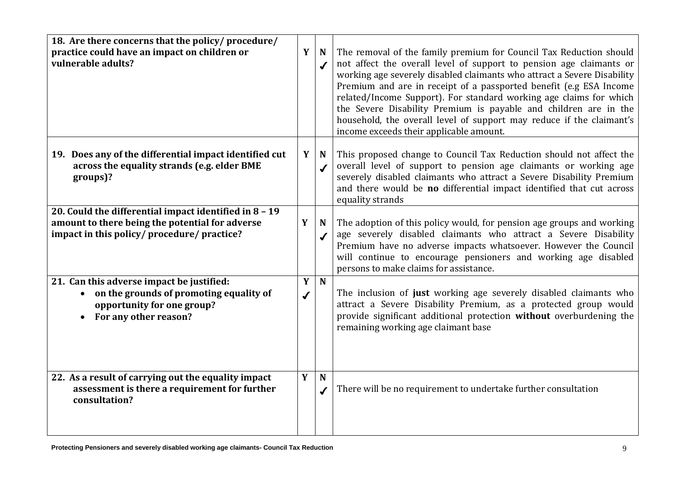| 18. Are there concerns that the policy/ procedure/<br>practice could have an impact on children or<br>vulnerable adults?                               | Y                 | $\mathbf N$<br>$\checkmark$ | The removal of the family premium for Council Tax Reduction should<br>not affect the overall level of support to pension age claimants or<br>working age severely disabled claimants who attract a Severe Disability<br>Premium and are in receipt of a passported benefit (e.g ESA Income<br>related/Income Support). For standard working age claims for which<br>the Severe Disability Premium is payable and children are in the<br>household, the overall level of support may reduce if the claimant's<br>income exceeds their applicable amount. |
|--------------------------------------------------------------------------------------------------------------------------------------------------------|-------------------|-----------------------------|---------------------------------------------------------------------------------------------------------------------------------------------------------------------------------------------------------------------------------------------------------------------------------------------------------------------------------------------------------------------------------------------------------------------------------------------------------------------------------------------------------------------------------------------------------|
| 19. Does any of the differential impact identified cut<br>across the equality strands (e.g. elder BME<br>groups)?                                      | Y <sub>1</sub>    | N<br>$\checkmark$           | This proposed change to Council Tax Reduction should not affect the<br>overall level of support to pension age claimants or working age<br>severely disabled claimants who attract a Severe Disability Premium<br>and there would be no differential impact identified that cut across<br>equality strands                                                                                                                                                                                                                                              |
| 20. Could the differential impact identified in 8 - 19<br>amount to there being the potential for adverse<br>impact in this policy/procedure/practice? | Y                 | $\mathbf N$<br>✔            | The adoption of this policy would, for pension age groups and working<br>age severely disabled claimants who attract a Severe Disability<br>Premium have no adverse impacts whatsoever. However the Council<br>will continue to encourage pensioners and working age disabled<br>persons to make claims for assistance.                                                                                                                                                                                                                                 |
| 21. Can this adverse impact be justified:<br>on the grounds of promoting equality of<br>opportunity for one group?<br>For any other reason?            | Y<br>$\checkmark$ | $\mathbf N$                 | The inclusion of just working age severely disabled claimants who<br>attract a Severe Disability Premium, as a protected group would<br>provide significant additional protection without overburdening the<br>remaining working age claimant base                                                                                                                                                                                                                                                                                                      |
| 22. As a result of carrying out the equality impact<br>assessment is there a requirement for further<br>consultation?                                  | Y                 | N<br>$\checkmark$           | There will be no requirement to undertake further consultation                                                                                                                                                                                                                                                                                                                                                                                                                                                                                          |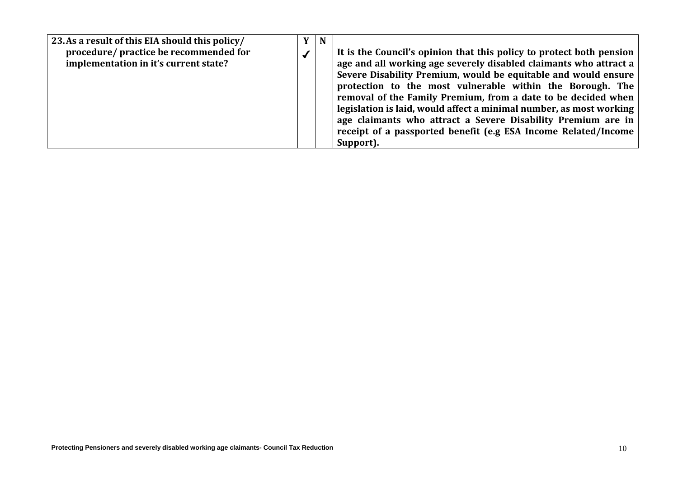| 23. As a result of this EIA should this policy/                                 | $\mathbf{Y}$ | N |                                                                                                                                                                                                                                                                                                                                                                                                                                                                                                                                                                 |
|---------------------------------------------------------------------------------|--------------|---|-----------------------------------------------------------------------------------------------------------------------------------------------------------------------------------------------------------------------------------------------------------------------------------------------------------------------------------------------------------------------------------------------------------------------------------------------------------------------------------------------------------------------------------------------------------------|
| procedure/ practice be recommended for<br>implementation in it's current state? |              |   | It is the Council's opinion that this policy to protect both pension<br>age and all working age severely disabled claimants who attract a<br>Severe Disability Premium, would be equitable and would ensure<br>protection to the most vulnerable within the Borough. The<br>removal of the Family Premium, from a date to be decided when<br>legislation is laid, would affect a minimal number, as most working<br>age claimants who attract a Severe Disability Premium are in<br>receipt of a passported benefit (e.g ESA Income Related/Income<br>Support). |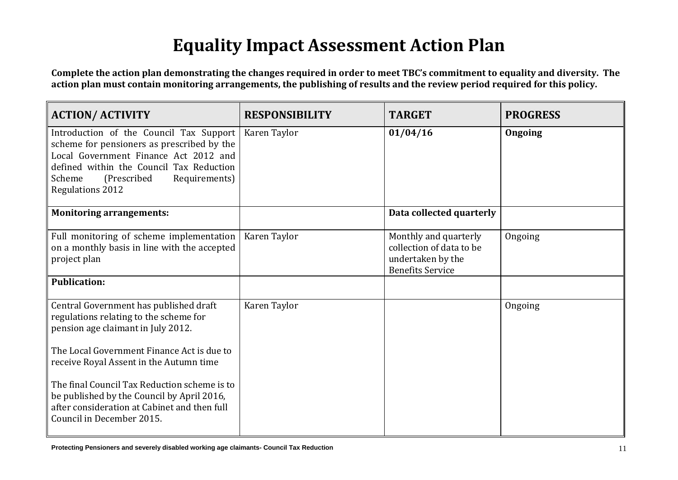## **Equality Impact Assessment Action Plan**

**Complete the action plan demonstrating the changes required in order to meet TBC's commitment to equality and diversity. The action plan must contain monitoring arrangements, the publishing of results and the review period required for this policy.**

| <b>ACTION/ ACTIVITY</b>                                                                                                                                                                                                                          | <b>RESPONSIBILITY</b> | <b>TARGET</b>                                                                                     | <b>PROGRESS</b> |
|--------------------------------------------------------------------------------------------------------------------------------------------------------------------------------------------------------------------------------------------------|-----------------------|---------------------------------------------------------------------------------------------------|-----------------|
| Introduction of the Council Tax Support<br>scheme for pensioners as prescribed by the<br>Local Government Finance Act 2012 and<br>defined within the Council Tax Reduction<br>(Prescribed)<br>Scheme<br>Requirements)<br><b>Regulations 2012</b> | Karen Taylor          | 01/04/16                                                                                          | Ongoing         |
| <b>Monitoring arrangements:</b>                                                                                                                                                                                                                  |                       | Data collected quarterly                                                                          |                 |
| Full monitoring of scheme implementation<br>on a monthly basis in line with the accepted<br>project plan                                                                                                                                         | Karen Taylor          | Monthly and quarterly<br>collection of data to be<br>undertaken by the<br><b>Benefits Service</b> | Ongoing         |
| <b>Publication:</b>                                                                                                                                                                                                                              |                       |                                                                                                   |                 |
| Central Government has published draft<br>regulations relating to the scheme for<br>pension age claimant in July 2012.<br>The Local Government Finance Act is due to<br>receive Royal Assent in the Autumn time                                  | Karen Taylor          |                                                                                                   | Ongoing         |
| The final Council Tax Reduction scheme is to<br>be published by the Council by April 2016,<br>after consideration at Cabinet and then full<br>Council in December 2015.                                                                          |                       |                                                                                                   |                 |